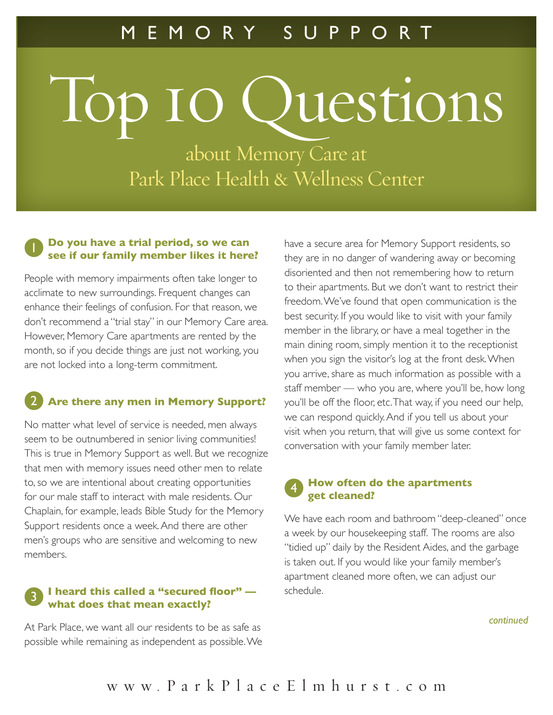# Top 10 Questions

about Memory Care at Park Place Health & Wellness Center

#### 1 **Do you have a trial period, so we can see if our family member likes it here?**

People with memory impairments often take longer to acclimate to new surroundings. Frequent changes can enhance their feelings of confusion. For that reason, we don't recommend a "trial stay" in our Memory Care area. However, Memory Care apartments are rented by the month, so if you decide things are just not working, you are not locked into a long-term commitment.

## 2 **Are there any men in Memory Support?**

No matter what level of service is needed, men always seem to be outnumbered in senior living communities! This is true in Memory Support as well. But we recognize that men with memory issues need other men to relate to, so we are intentional about creating opportunities for our male staff to interact with male residents. Our Chaplain, for example, leads Bible Study for the Memory Support residents once a week. And there are other men's groups who are sensitive and welcoming to new members.

#### 3 **I heard this called a "secured floor" what does that mean exactly?**

At Park Place, we want all our residents to be as safe as possible while remaining as independent as possible. We have a secure area for Memory Support residents, so they are in no danger of wandering away or becoming disoriented and then not remembering how to return to their apartments. But we don't want to restrict their freedom. We've found that open communication is the best security. If you would like to visit with your family member in the library, or have a meal together in the main dining room, simply mention it to the receptionist when you sign the visitor's log at the front desk. When you arrive, share as much information as possible with a staff member — who you are, where you'll be, how long you'll be off the floor, etc. That way, if you need our help, we can respond quickly. And if you tell us about your visit when you return, that will give us some context for conversation with your family member later.

#### 4 **How often do the apartments get cleaned?**

We have each room and bathroom "deep-cleaned" once a week by our housekeeping staff. The rooms are also "tidied up" daily by the Resident Aides, and the garbage is taken out. If you would like your family member's apartment cleaned more often, we can adjust our schedule.